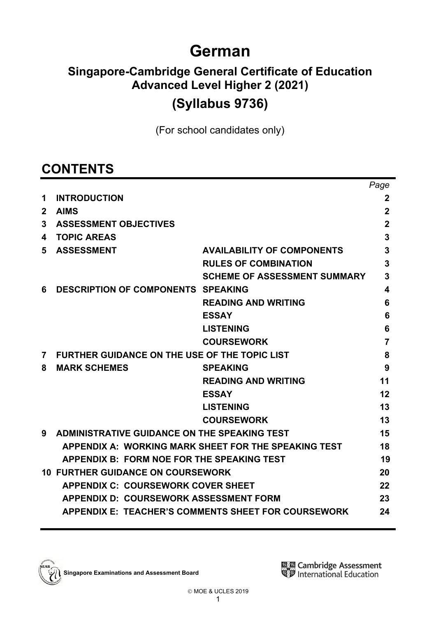# **German**

# **Singapore-Cambridge General Certificate of Education Advanced Level Higher 2 (2021) (Syllabus 9736)**

(For school candidates only)

# **CONTENTS**

|              |                                                      |                                                            | Page           |
|--------------|------------------------------------------------------|------------------------------------------------------------|----------------|
| 1            | <b>INTRODUCTION</b>                                  |                                                            | $\mathbf 2$    |
| $\mathbf{2}$ | <b>AIMS</b>                                          |                                                            | $\overline{2}$ |
| 3            | <b>ASSESSMENT OBJECTIVES</b>                         |                                                            | $\mathbf 2$    |
| 4            | <b>TOPIC AREAS</b>                                   |                                                            | 3              |
| 5            | <b>ASSESSMENT</b>                                    | <b>AVAILABILITY OF COMPONENTS</b>                          | 3              |
|              |                                                      | <b>RULES OF COMBINATION</b>                                | 3              |
|              |                                                      | <b>SCHEME OF ASSESSMENT SUMMARY</b>                        | 3              |
| 6            | <b>DESCRIPTION OF COMPONENTS SPEAKING</b>            |                                                            | 4              |
|              |                                                      | <b>READING AND WRITING</b>                                 | 6              |
|              |                                                      | <b>ESSAY</b>                                               | 6              |
|              |                                                      | <b>LISTENING</b>                                           | 6              |
|              |                                                      | <b>COURSEWORK</b>                                          | 7              |
| 7            | <b>FURTHER GUIDANCE ON THE USE OF THE TOPIC LIST</b> |                                                            | 8              |
| 8            | <b>MARK SCHEMES</b>                                  | <b>SPEAKING</b>                                            | 9              |
|              |                                                      | <b>READING AND WRITING</b>                                 | 11             |
|              |                                                      | <b>ESSAY</b>                                               | 12             |
|              |                                                      | <b>LISTENING</b>                                           | 13             |
|              |                                                      | <b>COURSEWORK</b>                                          | 13             |
| 9            | <b>ADMINISTRATIVE GUIDANCE ON THE SPEAKING TEST</b>  |                                                            | 15             |
|              |                                                      | APPENDIX A: WORKING MARK SHEET FOR THE SPEAKING TEST       | 18             |
|              | <b>APPENDIX B: FORM NOE FOR THE SPEAKING TEST</b>    |                                                            | 19             |
|              | <b>10 FURTHER GUIDANCE ON COURSEWORK</b>             |                                                            | 20             |
|              | <b>APPENDIX C: COURSEWORK COVER SHEET</b>            |                                                            | 22             |
|              | <b>APPENDIX D: COURSEWORK ASSESSMENT FORM</b>        |                                                            | 23             |
|              |                                                      | <b>APPENDIX E: TEACHER'S COMMENTS SHEET FOR COURSEWORK</b> | 24             |
|              |                                                      |                                                            |                |

**Singapore Examinations and Assessment Board**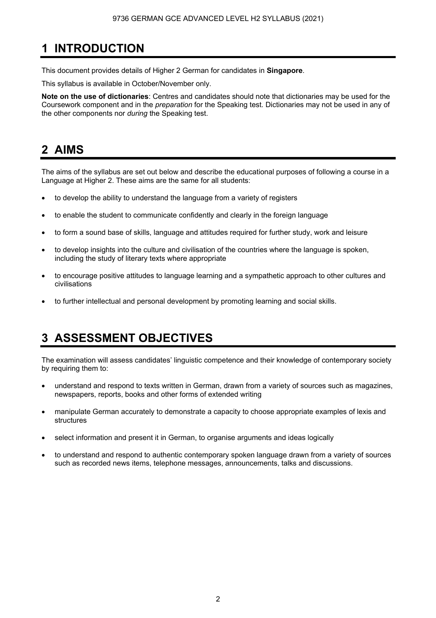# **1 INTRODUCTION**

This document provides details of Higher 2 German for candidates in **Singapore**.

This syllabus is available in October/November only.

**Note on the use of dictionaries**: Centres and candidates should note that dictionaries may be used for the Coursework component and in the *preparation* for the Speaking test. Dictionaries may not be used in any of the other components nor *during* the Speaking test.

# **2 AIMS**

The aims of the syllabus are set out below and describe the educational purposes of following a course in a Language at Higher 2. These aims are the same for all students:

- to develop the ability to understand the language from a variety of registers
- to enable the student to communicate confidently and clearly in the foreign language
- to form a sound base of skills, language and attitudes required for further study, work and leisure
- to develop insights into the culture and civilisation of the countries where the language is spoken, including the study of literary texts where appropriate
- to encourage positive attitudes to language learning and a sympathetic approach to other cultures and civilisations
- to further intellectual and personal development by promoting learning and social skills.

# **3 ASSESSMENT OBJECTIVES**

The examination will assess candidates' linguistic competence and their knowledge of contemporary society by requiring them to:

- understand and respond to texts written in German, drawn from a variety of sources such as magazines, newspapers, reports, books and other forms of extended writing
- manipulate German accurately to demonstrate a capacity to choose appropriate examples of lexis and structures
- select information and present it in German, to organise arguments and ideas logically
- to understand and respond to authentic contemporary spoken language drawn from a variety of sources such as recorded news items, telephone messages, announcements, talks and discussions.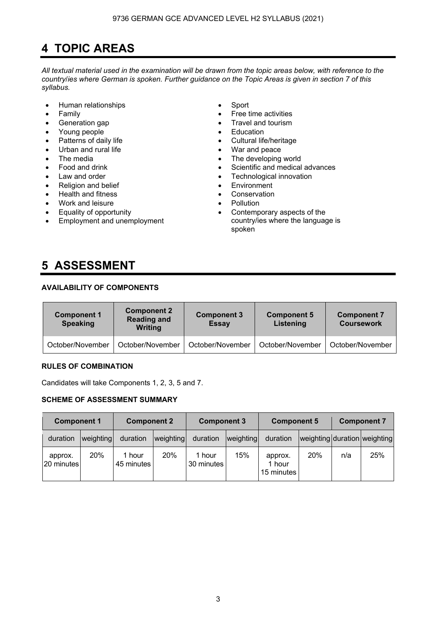# **4 TOPIC AREAS**

*All textual material used in the examination will be drawn from the topic areas below, with reference to the country*/*ies where German is spoken. Further guidance on the Topic Areas is given in section 7 of this syllabus.* 

- Human relationships Sport
- 
- 
- Young people **•** Education
- 
- 
- 
- 
- 
- Religion and belief **•** Environment
- Health and fitness  **Conservation**
- Work and leisure Pollution
- Equality of opportunity
- Employment and unemployment
- 
- Family **•** Free time activities
- Generation gap **•** Travel and tourism
	-
- Patterns of daily life  **Cultural life/heritage** 
	- Urban and rural life **•** War and peace
	- The media **Figure 1** The developing world
	- Food and drink Scientific and medical advances
	- Law and order **Figure 1** and order **Figure 1** and order **Figure 1** and  $\bullet$  **Technological innovation** 
		-
		-
		-
		- Contemporary aspects of the country/ies where the language is spoken

# **5 ASSESSMENT**

# **AVAILABILITY OF COMPONENTS**

| <b>Component 1</b><br><b>Speaking</b> | <b>Component 2</b><br><b>Reading and</b><br><b>Writing</b> | <b>Component 3</b><br><b>Essay</b> | <b>Component 5</b><br>Listening | <b>Component 7</b><br><b>Coursework</b> |
|---------------------------------------|------------------------------------------------------------|------------------------------------|---------------------------------|-----------------------------------------|
| October/November                      | October/November                                           | October/November                   | October/November                | October/November                        |

# **RULES OF COMBINATION**

Candidates will take Components 1, 2, 3, 5 and 7.

# **SCHEME OF ASSESSMENT SUMMARY**

| <b>Component 1</b>    |           |                      | <b>Component 2</b> |                      | <b>Component 3</b> | <b>Component 5</b>              |     | <b>Component 7</b> |                              |
|-----------------------|-----------|----------------------|--------------------|----------------------|--------------------|---------------------------------|-----|--------------------|------------------------------|
| duration              | weighting | duration             | weighting          | duration             | weighting          | duration                        |     |                    | weighting duration weighting |
| approx.<br>20 minutes | 20%       | 1 hour<br>45 minutes | <b>20%</b>         | 1 hour<br>30 minutes | 15%                | approx.<br>1 hour<br>15 minutes | 20% | n/a                | 25%                          |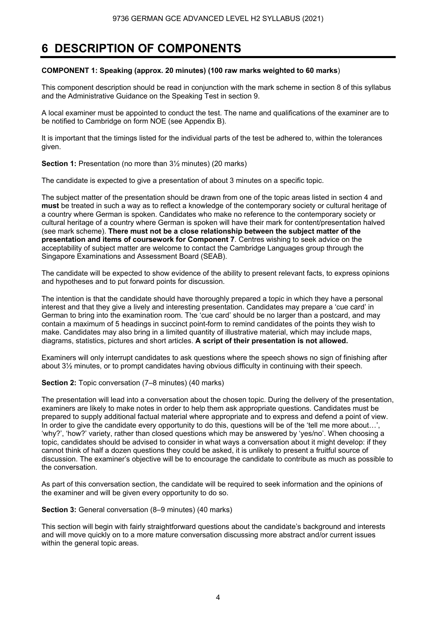# **6 DESCRIPTION OF COMPONENTS**

#### **COMPONENT 1: Speaking (approx. 20 minutes) (100 raw marks weighted to 60 marks**)

This component description should be read in conjunction with the mark scheme in section 8 of this syllabus and the Administrative Guidance on the Speaking Test in section 9.

A local examiner must be appointed to conduct the test. The name and qualifications of the examiner are to be notified to Cambridge on form NOE (see Appendix B).

It is important that the timings listed for the individual parts of the test be adhered to, within the tolerances given.

**Section 1:** Presentation (no more than  $3\frac{1}{2}$  minutes) (20 marks)

The candidate is expected to give a presentation of about 3 minutes on a specific topic.

The subject matter of the presentation should be drawn from one of the topic areas listed in section 4 and **must** be treated in such a way as to reflect a knowledge of the contemporary society or cultural heritage of a country where German is spoken. Candidates who make no reference to the contemporary society or cultural heritage of a country where German is spoken will have their mark for content/presentation halved (see mark scheme). **There must not be a close relationship between the subject matter of the presentation and items of coursework for Component 7**. Centres wishing to seek advice on the acceptability of subject matter are welcome to contact the Cambridge Languages group through the Singapore Examinations and Assessment Board (SEAB).

The candidate will be expected to show evidence of the ability to present relevant facts, to express opinions and hypotheses and to put forward points for discussion.

The intention is that the candidate should have thoroughly prepared a topic in which they have a personal interest and that they give a lively and interesting presentation. Candidates may prepare a 'cue card' in German to bring into the examination room. The 'cue card' should be no larger than a postcard, and may contain a maximum of 5 headings in succinct point-form to remind candidates of the points they wish to make. Candidates may also bring in a limited quantity of illustrative material, which may include maps, diagrams, statistics, pictures and short articles. **A script of their presentation is not allowed.** 

Examiners will only interrupt candidates to ask questions where the speech shows no sign of finishing after about 3½ minutes, or to prompt candidates having obvious difficulty in continuing with their speech.

#### **Section 2:** Topic conversation (7–8 minutes) (40 marks)

The presentation will lead into a conversation about the chosen topic. During the delivery of the presentation, examiners are likely to make notes in order to help them ask appropriate questions. Candidates must be prepared to supply additional factual material where appropriate and to express and defend a point of view. In order to give the candidate every opportunity to do this, questions will be of the 'tell me more about...', 'why?', 'how?' variety, rather than closed questions which may be answered by 'yes/no'. When choosing a topic, candidates should be advised to consider in what ways a conversation about it might develop: if they cannot think of half a dozen questions they could be asked, it is unlikely to present a fruitful source of discussion. The examiner's objective will be to encourage the candidate to contribute as much as possible to the conversation.

As part of this conversation section, the candidate will be required to seek information and the opinions of the examiner and will be given every opportunity to do so.

#### **Section 3:** General conversation (8-9 minutes) (40 marks)

This section will begin with fairly straightforward questions about the candidate's background and interests and will move quickly on to a more mature conversation discussing more abstract and/or current issues within the general topic areas.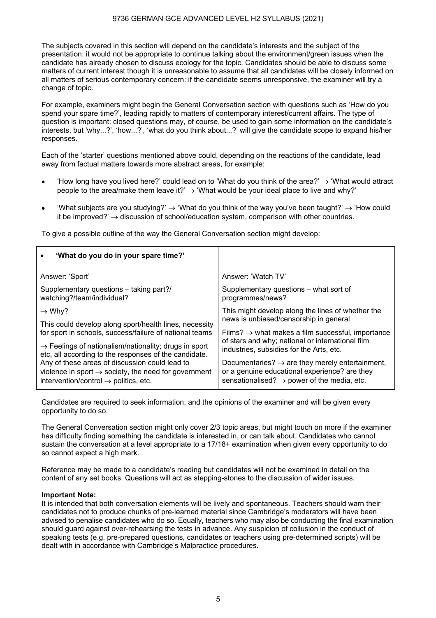The subjects covered in this section will depend on the candidate's interests and the subject of the presentation: it would not be appropriate to continue talking about the environment/green issues when the candidate has already chosen to discuss ecology for the topic. Candidates should be able to discuss some matters of current interest though it is unreasonable to assume that all candidates will be closely informed on all matters of serious contemporary concern: if the candidate seems unresponsive, the examiner will try a change of topic.

For example, examiners might begin the General Conversation section with questions such as 'How do you spend your spare time?', leading rapidly to matters of contemporary interest/current affairs. The type of question is important: closed questions may, of course, be used to gain some information on the candidate's interests, but 'why...?', 'how...?', 'what do you think about...?' will give the candidate scope to expand his/her responses.

Each of the 'starter' questions mentioned above could, depending on the reactions of the candidate, lead away from factual matters towards more abstract areas, for example:

- How long have you lived here?' could lead on to 'What do you think of the area?'  $\rightarrow$  'What would attract people to the area/make them leave it?'  $\rightarrow$  'What would be your ideal place to live and why?'
- 'What subjects are you studying?' → 'What do you think of the way you've been taught?' → 'How could it be improved?'  $\rightarrow$  discussion of school/education system, comparison with other countries.

To give a possible outline of the way the General Conversation section might develop:

| 'What do you do in your spare time?'                              |                                                               |
|-------------------------------------------------------------------|---------------------------------------------------------------|
| Answer: 'Sport'                                                   | Answer: 'Watch TV'                                            |
| Supplementary questions – taking part?/                           | Supplementary questions – what sort of                        |
| watching?/team/individual?                                        | programmes/news?                                              |
| $\rightarrow$ Why?                                                | This might develop along the lines of whether the             |
| This could develop along sport/health lines, necessity            | news is unbiased/censorship in general                        |
| for sport in schools, success/failure of national teams           | Films? $\rightarrow$ what makes a film successful, importance |
| $\rightarrow$ Feelings of nationalism/nationality; drugs in sport | of stars and why; national or international film              |
| etc, all according to the responses of the candidate.             | industries, subsidies for the Arts, etc.                      |
| Any of these areas of discussion could lead to                    | Documentaries? $\rightarrow$ are they merely entertainment,   |
| violence in sport $\rightarrow$ society, the need for government  | or a genuine educational experience? are they                 |
| intervention/control $\rightarrow$ politics, etc.                 | sensationalised? $\rightarrow$ power of the media, etc.       |

Candidates are required to seek information, and the opinions of the examiner and will be given every opportunity to do so.

The General Conversation section might only cover 2/3 topic areas, but might touch on more if the examiner has difficulty finding something the candidate is interested in, or can talk about. Candidates who cannot sustain the conversation at a level appropriate to a 17/18+ examination when given every opportunity to do so cannot expect a high mark.

Reference may be made to a candidate's reading but candidates will not be examined in detail on the content of any set books. Questions will act as stepping-stones to the discussion of wider issues.

#### **Important Note:**

It is intended that both conversation elements will be lively and spontaneous. Teachers should warn their candidates not to produce chunks of pre-learned material since Cambridge's moderators will have been advised to penalise candidates who do so. Equally, teachers who may also be conducting the final examination should guard against over-rehearsing the tests in advance. Any suspicion of collusion in the conduct of speaking tests (e.g. pre-prepared questions, candidates or teachers using pre-determined scripts) will be dealt with in accordance with Cambridge's Malpractice procedures.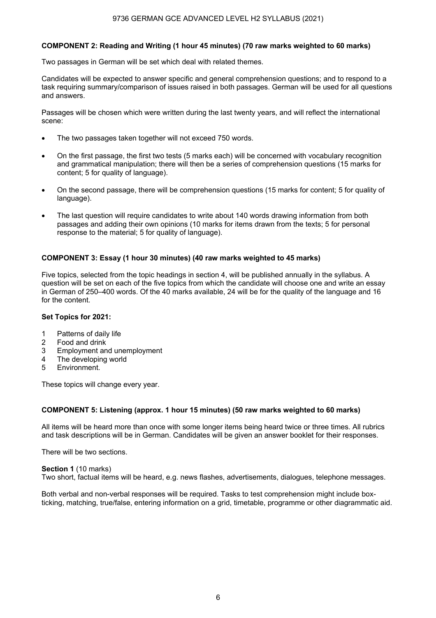### **COMPONENT 2: Reading and Writing (1 hour 45 minutes) (70 raw marks weighted to 60 marks)**

Two passages in German will be set which deal with related themes.

Candidates will be expected to answer specific and general comprehension questions; and to respond to a task requiring summary/comparison of issues raised in both passages. German will be used for all questions and answers.

Passages will be chosen which were written during the last twenty years, and will reflect the international scene:

- The two passages taken together will not exceed 750 words.
- On the first passage, the first two tests (5 marks each) will be concerned with vocabulary recognition and grammatical manipulation; there will then be a series of comprehension questions (15 marks for content; 5 for quality of language).
- On the second passage, there will be comprehension questions (15 marks for content; 5 for quality of language).
- The last question will require candidates to write about 140 words drawing information from both passages and adding their own opinions (10 marks for items drawn from the texts; 5 for personal response to the material; 5 for quality of language).

### **COMPONENT 3: Essay (1 hour 30 minutes) (40 raw marks weighted to 45 marks)**

Five topics, selected from the topic headings in section 4, will be published annually in the syllabus. A question will be set on each of the five topics from which the candidate will choose one and write an essay in German of 250–400 words. Of the 40 marks available, 24 will be for the quality of the language and 16 for the content.

#### **Set Topics for 2021:**

- 1 Patterns of daily life
- 2 Food and drink
- 3 Employment and unemployment
- 4 The developing world
- 5 Environment.

These topics will change every year.

#### **COMPONENT 5: Listening (approx. 1 hour 15 minutes) (50 raw marks weighted to 60 marks)**

All items will be heard more than once with some longer items being heard twice or three times. All rubrics and task descriptions will be in German. Candidates will be given an answer booklet for their responses.

There will be two sections.

#### **Section 1** (10 marks)

Two short, factual items will be heard, e.g. news flashes, advertisements, dialogues, telephone messages.

Both verbal and non-verbal responses will be required. Tasks to test comprehension might include boxticking, matching, true/false, entering information on a grid, timetable, programme or other diagrammatic aid.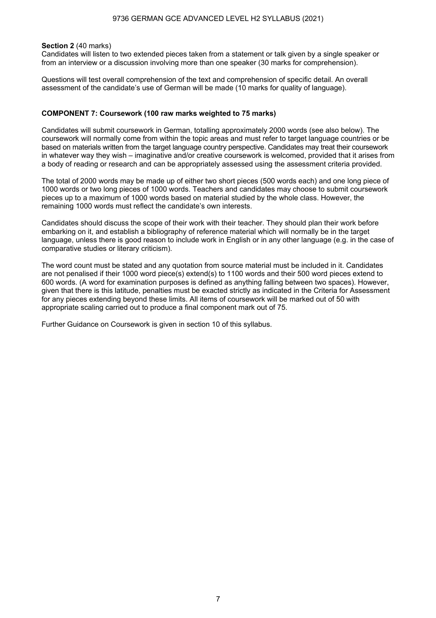#### 9736 GERMAN GCE ADVANCED LEVEL H2 SYLLABUS (2021)

#### **Section 2** (40 marks)

Candidates will listen to two extended pieces taken from a statement or talk given by a single speaker or from an interview or a discussion involving more than one speaker (30 marks for comprehension).

Questions will test overall comprehension of the text and comprehension of specific detail. An overall assessment of the candidate's use of German will be made (10 marks for quality of language).

#### **COMPONENT 7: Coursework (100 raw marks weighted to 75 marks)**

Candidates will submit coursework in German, totalling approximately 2000 words (see also below). The coursework will normally come from within the topic areas and must refer to target language countries or be based on materials written from the target language country perspective. Candidates may treat their coursework in whatever way they wish – imaginative and/or creative coursework is welcomed, provided that it arises from a body of reading or research and can be appropriately assessed using the assessment criteria provided.

The total of 2000 words may be made up of either two short pieces (500 words each) and one long piece of 1000 words or two long pieces of 1000 words. Teachers and candidates may choose to submit coursework pieces up to a maximum of 1000 words based on material studied by the whole class. However, the remaining 1000 words must reflect the candidate's own interests.

Candidates should discuss the scope of their work with their teacher. They should plan their work before embarking on it, and establish a bibliography of reference material which will normally be in the target language, unless there is good reason to include work in English or in any other language (e.g. in the case of comparative studies or literary criticism).

The word count must be stated and any quotation from source material must be included in it. Candidates are not penalised if their 1000 word piece(s) extend(s) to 1100 words and their 500 word pieces extend to 600 words. (A word for examination purposes is defined as anything falling between two spaces). However, given that there is this latitude, penalties must be exacted strictly as indicated in the Criteria for Assessment for any pieces extending beyond these limits. All items of coursework will be marked out of 50 with appropriate scaling carried out to produce a final component mark out of 75.

Further Guidance on Coursework is given in section 10 of this syllabus.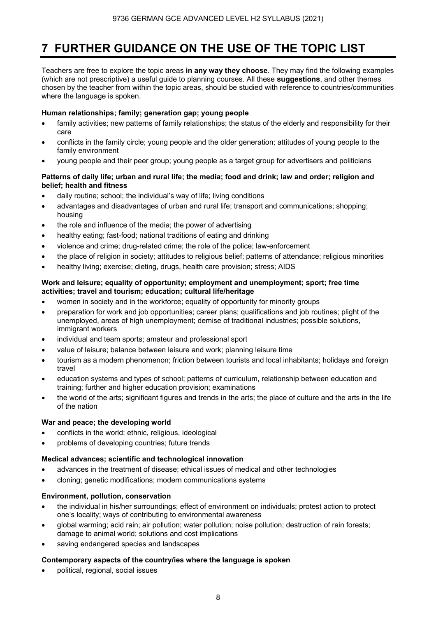# **7 FURTHER GUIDANCE ON THE USE OF THE TOPIC LIST**

Teachers are free to explore the topic areas **in any way they choose**. They may find the following examples (which are not prescriptive) a useful guide to planning courses. All these **suggestions**, and other themes chosen by the teacher from within the topic areas, should be studied with reference to countries/communities where the language is spoken.

# **Human relationships; family; generation gap; young people**

- family activities; new patterns of family relationships; the status of the elderly and responsibility for their care
- conflicts in the family circle; young people and the older generation; attitudes of young people to the family environment
- young people and their peer group; young people as a target group for advertisers and politicians

### **Patterns of daily life; urban and rural life; the media; food and drink; law and order; religion and belief; health and fitness**

- daily routine; school; the individual's way of life; living conditions
- advantages and disadvantages of urban and rural life; transport and communications; shopping; housing
- the role and influence of the media; the power of advertising
- healthy eating; fast-food; national traditions of eating and drinking
- violence and crime; drug-related crime; the role of the police; law-enforcement
- the place of religion in society; attitudes to religious belief; patterns of attendance; religious minorities
- healthy living; exercise; dieting, drugs, health care provision; stress; AIDS

### **Work and leisure; equality of opportunity; employment and unemployment; sport; free time activities; travel and tourism; education; cultural life/heritage**

- women in society and in the workforce; equality of opportunity for minority groups
- preparation for work and job opportunities; career plans; qualifications and job routines; plight of the unemployed, areas of high unemployment; demise of traditional industries; possible solutions, immigrant workers
- individual and team sports; amateur and professional sport
- value of leisure; balance between leisure and work; planning leisure time
- tourism as a modern phenomenon; friction between tourists and local inhabitants; holidays and foreign travel
- education systems and types of school; patterns of curriculum, relationship between education and training; further and higher education provision; examinations
- the world of the arts; significant figures and trends in the arts; the place of culture and the arts in the life of the nation

### **War and peace; the developing world**

- conflicts in the world: ethnic, religious, ideological
- problems of developing countries; future trends

### **Medical advances; scientific and technological innovation**

- advances in the treatment of disease; ethical issues of medical and other technologies
- cloning; genetic modifications; modern communications systems

### **Environment, pollution, conservation**

- the individual in his/her surroundings; effect of environment on individuals; protest action to protect one's locality; ways of contributing to environmental awareness
- global warming; acid rain; air pollution; water pollution; noise pollution; destruction of rain forests; damage to animal world; solutions and cost implications
- saving endangered species and landscapes

### **Contemporary aspects of the country/ies where the language is spoken**

• political, regional, social issues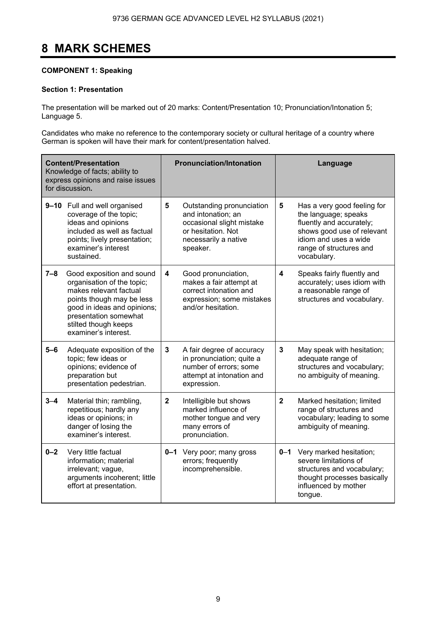# **8 MARK SCHEMES**

### **COMPONENT 1: Speaking**

### **Section 1: Presentation**

The presentation will be marked out of 20 marks: Content/Presentation 10; Pronunciation/Intonation 5; Language 5.

Candidates who make no reference to the contemporary society or cultural heritage of a country where German is spoken will have their mark for content/presentation halved.

|         | <b>Content/Presentation</b><br>Knowledge of facts; ability to<br>express opinions and raise issues<br>for discussion.                                                                                                  |              | <b>Pronunciation/Intonation</b>                                                                                                        |              | Language                                                                                                                                                                         |
|---------|------------------------------------------------------------------------------------------------------------------------------------------------------------------------------------------------------------------------|--------------|----------------------------------------------------------------------------------------------------------------------------------------|--------------|----------------------------------------------------------------------------------------------------------------------------------------------------------------------------------|
|         | 9-10 Full and well organised<br>coverage of the topic;<br>ideas and opinions<br>included as well as factual<br>points; lively presentation;<br>examiner's interest<br>sustained.                                       | 5            | Outstanding pronunciation<br>and intonation; an<br>occasional slight mistake<br>or hesitation. Not<br>necessarily a native<br>speaker. | 5            | Has a very good feeling for<br>the language; speaks<br>fluently and accurately;<br>shows good use of relevant<br>idiom and uses a wide<br>range of structures and<br>vocabulary. |
| $7 - 8$ | Good exposition and sound<br>organisation of the topic;<br>makes relevant factual<br>points though may be less<br>good in ideas and opinions;<br>presentation somewhat<br>stilted though keeps<br>examiner's interest. | 4            | Good pronunciation,<br>makes a fair attempt at<br>correct intonation and<br>expression; some mistakes<br>and/or hesitation.            | 4            | Speaks fairly fluently and<br>accurately; uses idiom with<br>a reasonable range of<br>structures and vocabulary.                                                                 |
| $5-6$   | Adequate exposition of the<br>topic; few ideas or<br>opinions; evidence of<br>preparation but<br>presentation pedestrian.                                                                                              | 3            | A fair degree of accuracy<br>in pronunciation; quite a<br>number of errors; some<br>attempt at intonation and<br>expression.           | 3            | May speak with hesitation;<br>adequate range of<br>structures and vocabulary;<br>no ambiguity of meaning.                                                                        |
| $3 - 4$ | Material thin; rambling,<br>repetitious; hardly any<br>ideas or opinions; in<br>danger of losing the<br>examiner's interest.                                                                                           | $\mathbf{2}$ | Intelligible but shows<br>marked influence of<br>mother tongue and very<br>many errors of<br>pronunciation.                            | $\mathbf{2}$ | Marked hesitation; limited<br>range of structures and<br>vocabulary; leading to some<br>ambiguity of meaning.                                                                    |
| $0 - 2$ | Very little factual<br>information; material<br>irrelevant; vague,<br>arguments incoherent; little<br>effort at presentation.                                                                                          |              | 0-1 Very poor; many gross<br>errors; frequently<br>incomprehensible.                                                                   |              | 0-1 Very marked hesitation;<br>severe limitations of<br>structures and vocabulary;<br>thought processes basically<br>influenced by mother<br>tongue.                             |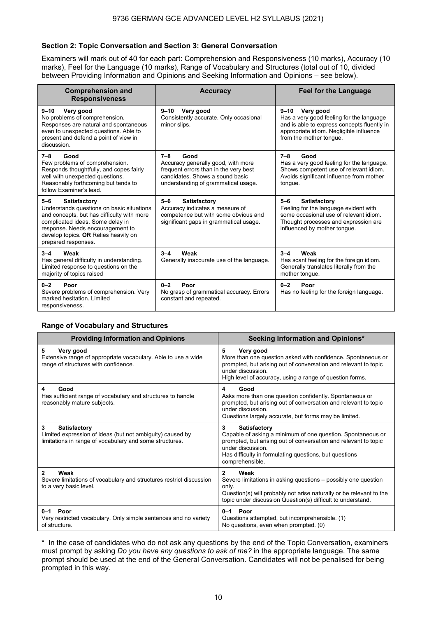### **Section 2: Topic Conversation and Section 3: General Conversation**

Examiners will mark out of 40 for each part: Comprehension and Responsiveness (10 marks), Accuracy (10 marks), Feel for the Language (10 marks), Range of Vocabulary and Structures (total out of 10, divided between Providing Information and Opinions and Seeking Information and Opinions – see below).

| <b>Comprehension and</b><br><b>Responsiveness</b>                                                                                                                                                                                                         | <b>Accuracy</b>                                                                                                                                                          | <b>Feel for the Language</b>                                                                                                                                                           |
|-----------------------------------------------------------------------------------------------------------------------------------------------------------------------------------------------------------------------------------------------------------|--------------------------------------------------------------------------------------------------------------------------------------------------------------------------|----------------------------------------------------------------------------------------------------------------------------------------------------------------------------------------|
| Very good<br>$9 - 10$<br>No problems of comprehension.<br>Responses are natural and spontaneous<br>even to unexpected questions. Able to<br>present and defend a point of view in<br>discussion.                                                          | $9 - 10$<br>Very good<br>Consistently accurate. Only occasional<br>minor slips.                                                                                          | Very good<br>$9 - 10$<br>Has a very good feeling for the language<br>and is able to express concepts fluently in<br>appropriate idiom. Negligible influence<br>from the mother tonque. |
| $7 - 8$<br>Good<br>Few problems of comprehension.<br>Responds thoughtfully, and copes fairly<br>well with unexpected questions.<br>Reasonably forthcoming but tends to<br>follow Examiner's lead.                                                         | $7 - 8$<br>Good<br>Accuracy generally good, with more<br>frequent errors than in the very best<br>candidates. Shows a sound basic<br>understanding of grammatical usage. | $7 - 8$<br>Good<br>Has a very good feeling for the language.<br>Shows competent use of relevant idiom.<br>Avoids significant influence from mother<br>tongue.                          |
| $5 - 6$<br>Satisfactory<br>Understands questions on basic situations<br>and concepts, but has difficulty with more<br>complicated ideas. Some delay in<br>response. Needs encouragement to<br>develop topics. OR Relies heavily on<br>prepared responses. | $5 - 6$<br><b>Satisfactory</b><br>Accuracy indicates a measure of<br>competence but with some obvious and<br>significant gaps in grammatical usage.                      | $5 - 6$<br>Satisfactory<br>Feeling for the language evident with<br>some occasional use of relevant idiom.<br>Thought processes and expression are<br>influenced by mother tonque.     |
| $3 - 4$<br>Weak<br>Has general difficulty in understanding.<br>Limited response to questions on the<br>majority of topics raised                                                                                                                          | Weak<br>$3 - 4$<br>Generally inaccurate use of the language.                                                                                                             | Weak<br>$3 - 4$<br>Has scant feeling for the foreign idiom.<br>Generally translates literally from the<br>mother tongue.                                                               |
| $0 - 2$<br>Poor<br>Severe problems of comprehension. Very<br>marked hesitation. Limited<br>responsiveness.                                                                                                                                                | $0 - 2$<br>Poor<br>No grasp of grammatical accuracy. Errors<br>constant and repeated.                                                                                    | $0 - 2$<br>Poor<br>Has no feeling for the foreign language.                                                                                                                            |

#### **Range of Vocabulary and Structures**

| <b>Providing Information and Opinions</b>                                                                                                        | Seeking Information and Opinions*                                                                                                                                                                                                                            |
|--------------------------------------------------------------------------------------------------------------------------------------------------|--------------------------------------------------------------------------------------------------------------------------------------------------------------------------------------------------------------------------------------------------------------|
| 5<br>Very good<br>Extensive range of appropriate vocabulary. Able to use a wide<br>range of structures with confidence.                          | 5<br>Very good<br>More than one question asked with confidence. Spontaneous or<br>prompted, but arising out of conversation and relevant to topic<br>under discussion.<br>High level of accuracy, using a range of question forms.                           |
| Good<br>4<br>Has sufficient range of vocabulary and structures to handle<br>reasonably mature subjects.                                          | Good<br>4<br>Asks more than one question confidently. Spontaneous or<br>prompted, but arising out of conversation and relevant to topic<br>under discussion.<br>Questions largely accurate, but forms may be limited.                                        |
| <b>Satisfactory</b><br>3<br>Limited expression of ideas (but not ambiguity) caused by<br>limitations in range of vocabulary and some structures. | 3<br><b>Satisfactory</b><br>Capable of asking a minimum of one question. Spontaneous or<br>prompted, but arising out of conversation and relevant to topic<br>under discussion.<br>Has difficulty in formulating questions, but questions<br>comprehensible. |
| Weak<br>2<br>Severe limitations of vocabulary and structures restrict discussion<br>to a very basic level.                                       | $\mathbf{2}$<br>Weak<br>Severe limitations in asking questions – possibly one question<br>only.<br>Question(s) will probably not arise naturally or be relevant to the<br>topic under discussion Question(s) difficult to understand.                        |
| Poor<br>$0 - 1$<br>Very restricted vocabulary. Only simple sentences and no variety<br>of structure.                                             | $0-1$ Poor<br>Questions attempted, but incomprehensible. (1)<br>No questions, even when prompted. (0)                                                                                                                                                        |

\* In the case of candidates who do not ask any questions by the end of the Topic Conversation, examiners must prompt by asking *Do you have any questions to ask of me?* in the appropriate language. The same prompt should be used at the end of the General Conversation. Candidates will not be penalised for being prompted in this way.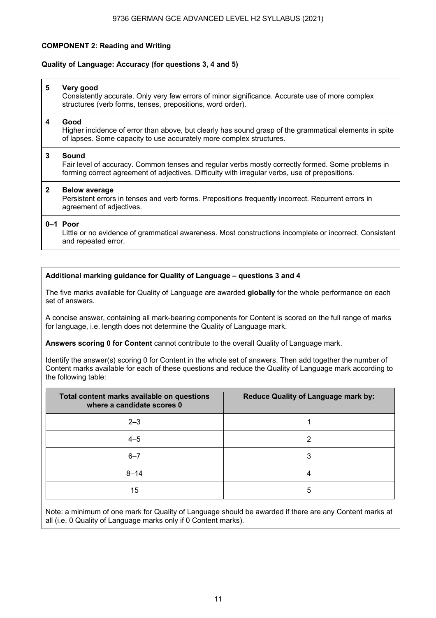### **COMPONENT 2: Reading and Writing**

#### **Quality of Language: Accuracy (for questions 3, 4 and 5)**

#### **5 Very good**  Consistently accurate. Only very few errors of minor significance. Accurate use of more complex structures (verb forms, tenses, prepositions, word order).

#### **4 Good**

Higher incidence of error than above, but clearly has sound grasp of the grammatical elements in spite of lapses. Some capacity to use accurately more complex structures.

#### **3 Sound**

Fair level of accuracy. Common tenses and regular verbs mostly correctly formed. Some problems in forming correct agreement of adjectives. Difficulty with irregular verbs, use of prepositions.

#### **2 Below average**

Persistent errors in tenses and verb forms. Prepositions frequently incorrect. Recurrent errors in agreement of adjectives.

#### **0–1 Poor**

Little or no evidence of grammatical awareness. Most constructions incomplete or incorrect. Consistent and repeated error.

#### **Additional marking guidance for Quality of Language – questions 3 and 4**

The five marks available for Quality of Language are awarded **globally** for the whole performance on each set of answers.

A concise answer, containing all mark-bearing components for Content is scored on the full range of marks for language, i.e. length does not determine the Quality of Language mark.

**Answers scoring 0 for Content** cannot contribute to the overall Quality of Language mark.

Identify the answer(s) scoring 0 for Content in the whole set of answers. Then add together the number of Content marks available for each of these questions and reduce the Quality of Language mark according to the following table:

| Total content marks available on questions<br>where a candidate scores 0 | <b>Reduce Quality of Language mark by:</b> |
|--------------------------------------------------------------------------|--------------------------------------------|
| $2 - 3$                                                                  |                                            |
| $4 - 5$                                                                  | າ                                          |
| $6 - 7$                                                                  | 3                                          |
| $8 - 14$                                                                 |                                            |
| 15                                                                       | 5                                          |

Note: a minimum of one mark for Quality of Language should be awarded if there are any Content marks at all (i.e. 0 Quality of Language marks only if 0 Content marks).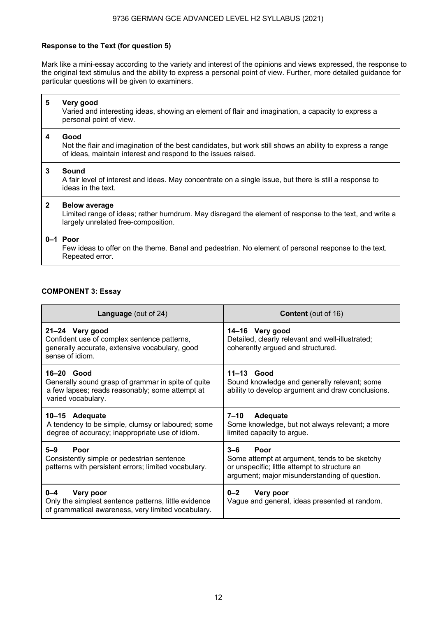### 9736 GERMAN GCE ADVANCED LEVEL H2 SYLLABUS (2021)

### **Response to the Text (for question 5)**

Mark like a mini-essay according to the variety and interest of the opinions and views expressed, the response to the original text stimulus and the ability to express a personal point of view. Further, more detailed guidance for particular questions will be given to examiners.

| 5            | Very good<br>Varied and interesting ideas, showing an element of flair and imagination, a capacity to express a<br>personal point of view.                                        |
|--------------|-----------------------------------------------------------------------------------------------------------------------------------------------------------------------------------|
| 4            | Good<br>Not the flair and imagination of the best candidates, but work still shows an ability to express a range<br>of ideas, maintain interest and respond to the issues raised. |
| $\mathbf{3}$ | Sound<br>A fair level of interest and ideas. May concentrate on a single issue, but there is still a response to<br>ideas in the text.                                            |
| $\mathbf{2}$ | <b>Below average</b><br>Limited range of ideas; rather humdrum. May disregard the element of response to the text, and write a<br>largely unrelated free-composition.             |
|              | $0-1$ Poor<br>Few ideas to offer on the theme. Banal and pedestrian. No element of personal response to the text.<br>Repeated error.                                              |

#### **COMPONENT 3: Essay**

| <b>Language</b> (out of 24)                                                                                                                 | <b>Content</b> (out of 16)                                                                                                                                         |
|---------------------------------------------------------------------------------------------------------------------------------------------|--------------------------------------------------------------------------------------------------------------------------------------------------------------------|
| 21-24 Very good<br>Confident use of complex sentence patterns,<br>generally accurate, extensive vocabulary, good<br>sense of idiom.         | 14-16 Very good<br>Detailed, clearly relevant and well-illustrated;<br>coherently argued and structured.                                                           |
| $16-20$ Good<br>Generally sound grasp of grammar in spite of quite<br>a few lapses; reads reasonably; some attempt at<br>varied vocabulary. | $11-13$ Good<br>Sound knowledge and generally relevant; some<br>ability to develop argument and draw conclusions.                                                  |
| 10–15 Adequate<br>A tendency to be simple, clumsy or laboured; some<br>degree of accuracy; inappropriate use of idiom.                      | 7–10<br>Adequate<br>Some knowledge, but not always relevant; a more<br>limited capacity to argue.                                                                  |
| $5 - 9$<br>Poor<br>Consistently simple or pedestrian sentence<br>patterns with persistent errors; limited vocabulary.                       | $3 - 6$<br>Poor<br>Some attempt at argument, tends to be sketchy<br>or unspecific; little attempt to structure an<br>argument; major misunderstanding of question. |
| $0 - 4$<br>Very poor<br>Only the simplest sentence patterns, little evidence<br>of grammatical awareness, very limited vocabulary.          | $0 - 2$<br>Very poor<br>Vague and general, ideas presented at random.                                                                                              |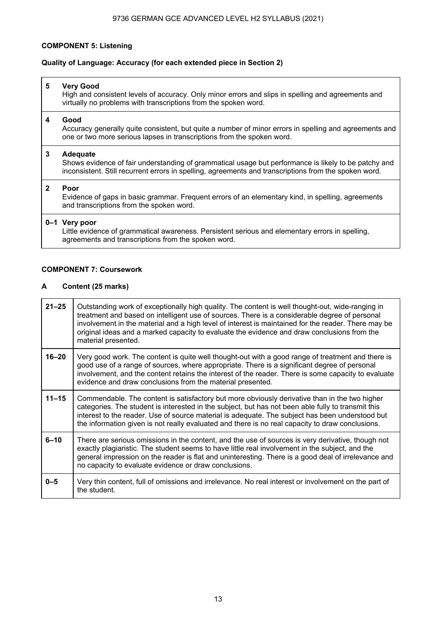#### **COMPONENT 5: Listening**

#### **Quality of Language: Accuracy (for each extended piece in Section 2)**

#### **5 Very Good**

High and consistent levels of accuracy. Only minor errors and slips in spelling and agreements and virtually no problems with transcriptions from the spoken word.

#### **4 Good**

Accuracy generally quite consistent, but quite a number of minor errors in spelling and agreements and one or two more serious lapses in transcriptions from the spoken word.

#### **3 Adequate**

Shows evidence of fair understanding of grammatical usage but performance is likely to be patchy and inconsistent. Still recurrent errors in spelling, agreements and transcriptions from the spoken word.

#### **2 Poor**

Evidence of gaps in basic grammar. Frequent errors of an elementary kind, in spelling, agreements and transcriptions from the spoken word.

### **0–1 Very poor**

Little evidence of grammatical awareness. Persistent serious and elementary errors in spelling, agreements and transcriptions from the spoken word.

#### **COMPONENT 7: Coursework**

#### **A Content (25 marks)**

| $21 - 25$ | Outstanding work of exceptionally high quality. The content is well thought-out, wide-ranging in<br>treatment and based on intelligent use of sources. There is a considerable degree of personal<br>involvement in the material and a high level of interest is maintained for the reader. There may be<br>original ideas and a marked capacity to evaluate the evidence and draw conclusions from the<br>material presented. |
|-----------|--------------------------------------------------------------------------------------------------------------------------------------------------------------------------------------------------------------------------------------------------------------------------------------------------------------------------------------------------------------------------------------------------------------------------------|
| $16 - 20$ | Very good work. The content is quite well thought-out with a good range of treatment and there is<br>good use of a range of sources, where appropriate. There is a significant degree of personal<br>involvement, and the content retains the interest of the reader. There is some capacity to evaluate<br>evidence and draw conclusions from the material presented.                                                         |
| $11 - 15$ | Commendable. The content is satisfactory but more obviously derivative than in the two higher<br>categories. The student is interested in the subject, but has not been able fully to transmit this<br>interest to the reader. Use of source material is adequate. The subject has been understood but<br>the information given is not really evaluated and there is no real capacity to draw conclusions.                     |
| $6 - 10$  | There are serious omissions in the content, and the use of sources is very derivative, though not<br>exactly plagiaristic. The student seems to have little real involvement in the subject, and the<br>general impression on the reader is flat and uninteresting. There is a good deal of irrelevance and<br>no capacity to evaluate evidence or draw conclusions.                                                           |
| $0 - 5$   | Very thin content, full of omissions and irrelevance. No real interest or involvement on the part of<br>the student.                                                                                                                                                                                                                                                                                                           |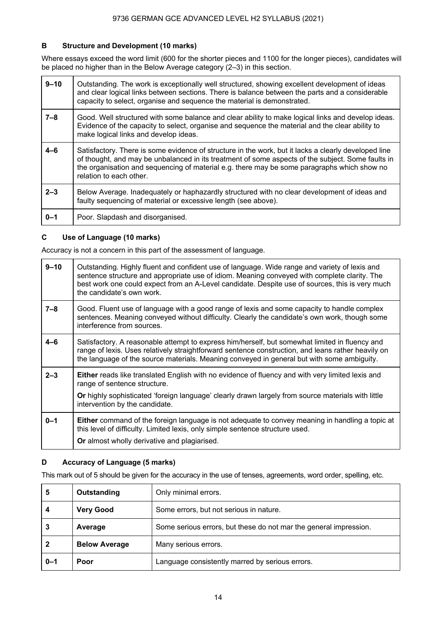### **B Structure and Development (10 marks)**

Where essays exceed the word limit (600 for the shorter pieces and 1100 for the longer pieces), candidates will be placed no higher than in the Below Average category (2-3) in this section.

| $9 - 10$ | Outstanding. The work is exceptionally well structured, showing excellent development of ideas<br>and clear logical links between sections. There is balance between the parts and a considerable<br>capacity to select, organise and sequence the material is demonstrated.                                                        |
|----------|-------------------------------------------------------------------------------------------------------------------------------------------------------------------------------------------------------------------------------------------------------------------------------------------------------------------------------------|
| $7 - 8$  | Good. Well structured with some balance and clear ability to make logical links and develop ideas.<br>Evidence of the capacity to select, organise and sequence the material and the clear ability to<br>make logical links and develop ideas.                                                                                      |
| $4 - 6$  | Satisfactory. There is some evidence of structure in the work, but it lacks a clearly developed line<br>of thought, and may be unbalanced in its treatment of some aspects of the subject. Some faults in<br>the organisation and sequencing of material e.g. there may be some paragraphs which show no<br>relation to each other. |
| $2 - 3$  | Below Average. Inadequately or haphazardly structured with no clear development of ideas and<br>faulty sequencing of material or excessive length (see above).                                                                                                                                                                      |
| $0 - 1$  | Poor. Slapdash and disorganised.                                                                                                                                                                                                                                                                                                    |

### **C Use of Language (10 marks)**

Accuracy is not a concern in this part of the assessment of language.

| $9 - 10$ | Outstanding. Highly fluent and confident use of language. Wide range and variety of lexis and<br>sentence structure and appropriate use of idiom. Meaning conveyed with complete clarity. The<br>best work one could expect from an A-Level candidate. Despite use of sources, this is very much<br>the candidate's own work. |
|----------|-------------------------------------------------------------------------------------------------------------------------------------------------------------------------------------------------------------------------------------------------------------------------------------------------------------------------------|
| 7–8      | Good. Fluent use of language with a good range of lexis and some capacity to handle complex<br>sentences. Meaning conveyed without difficulty. Clearly the candidate's own work, though some<br>interference from sources.                                                                                                    |
| $4 - 6$  | Satisfactory. A reasonable attempt to express him/herself, but somewhat limited in fluency and<br>range of lexis. Uses relatively straightforward sentence construction, and leans rather heavily on<br>the language of the source materials. Meaning conveyed in general but with some ambiguity.                            |
| $2 - 3$  | <b>Either</b> reads like translated English with no evidence of fluency and with very limited lexis and<br>range of sentence structure.<br>Or highly sophisticated 'foreign language' clearly drawn largely from source materials with little<br>intervention by the candidate.                                               |
| $0 - 1$  | <b>Either</b> command of the foreign language is not adequate to convey meaning in handling a topic at<br>this level of difficulty. Limited lexis, only simple sentence structure used.<br>Or almost wholly derivative and plagiarised.                                                                                       |

# **D Accuracy of Language (5 marks)**

This mark out of 5 should be given for the accuracy in the use of tenses, agreements, word order, spelling, etc.

| 5       | Outstanding          | Only minimal errors.                                              |
|---------|----------------------|-------------------------------------------------------------------|
| 4       | <b>Very Good</b>     | Some errors, but not serious in nature.                           |
|         | Average              | Some serious errors, but these do not mar the general impression. |
|         | <b>Below Average</b> | Many serious errors.                                              |
| $0 - 1$ | Poor                 | Language consistently marred by serious errors.                   |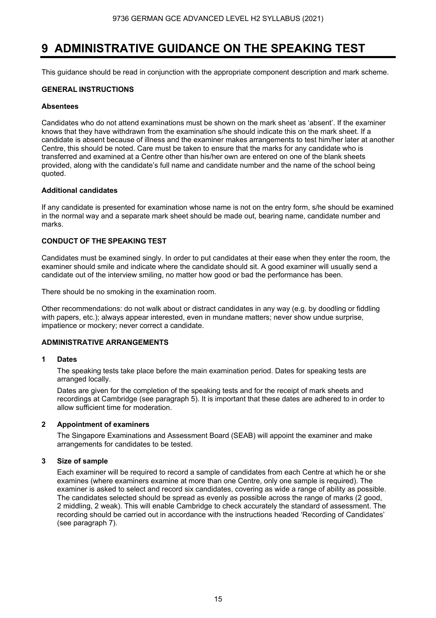# **9 ADMINISTRATIVE GUIDANCE ON THE SPEAKING TEST**

This guidance should be read in conjunction with the appropriate component description and mark scheme.

#### **GENERAL INSTRUCTIONS**

#### **Absentees**

Candidates who do not attend examinations must be shown on the mark sheet as 'absent'. If the examiner knows that they have withdrawn from the examination s/he should indicate this on the mark sheet. If a candidate is absent because of illness and the examiner makes arrangements to test him/her later at another Centre, this should be noted. Care must be taken to ensure that the marks for any candidate who is transferred and examined at a Centre other than his/her own are entered on one of the blank sheets provided, along with the candidate's full name and candidate number and the name of the school being quoted.

#### **Additional candidates**

If any candidate is presented for examination whose name is not on the entry form, s/he should be examined in the normal way and a separate mark sheet should be made out, bearing name, candidate number and marks.

#### **CONDUCT OF THE SPEAKING TEST**

Candidates must be examined singly. In order to put candidates at their ease when they enter the room, the examiner should smile and indicate where the candidate should sit. A good examiner will usually send a candidate out of the interview smiling, no matter how good or bad the performance has been.

There should be no smoking in the examination room.

Other recommendations: do not walk about or distract candidates in any way (e.g. by doodling or fiddling with papers, etc.); always appear interested, even in mundane matters; never show undue surprise, impatience or mockery; never correct a candidate.

#### **ADMINISTRATIVE ARRANGEMENTS**

#### **1 Dates**

 The speaking tests take place before the main examination period. Dates for speaking tests are arranged locally.

Dates are given for the completion of the speaking tests and for the receipt of mark sheets and recordings at Cambridge (see paragraph 5). It is important that these dates are adhered to in order to allow sufficient time for moderation.

#### **2 Appointment of examiners**

 The Singapore Examinations and Assessment Board (SEAB) will appoint the examiner and make arrangements for candidates to be tested.

#### **3 Size of sample**

 Each examiner will be required to record a sample of candidates from each Centre at which he or she examines (where examiners examine at more than one Centre, only one sample is required). The examiner is asked to select and record six candidates, covering as wide a range of ability as possible. The candidates selected should be spread as evenly as possible across the range of marks (2 good, 2 middling, 2 weak). This will enable Cambridge to check accurately the standard of assessment. The recording should be carried out in accordance with the instructions headed 'Recording of Candidates' (see paragraph 7).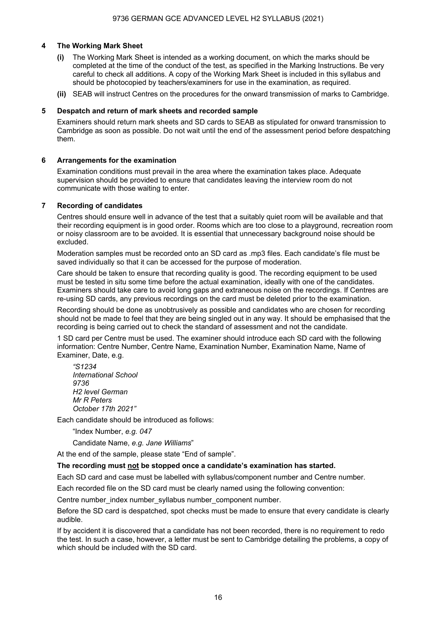#### **4 The Working Mark Sheet**

- **(i)** The Working Mark Sheet is intended as a working document, on which the marks should be completed at the time of the conduct of the test, as specified in the Marking Instructions. Be very careful to check all additions. A copy of the Working Mark Sheet is included in this syllabus and should be photocopied by teachers/examiners for use in the examination, as required.
- **(ii)** SEAB will instruct Centres on the procedures for the onward transmission of marks to Cambridge.

#### **5 Despatch and return of mark sheets and recorded sample**

Examiners should return mark sheets and SD cards to SEAB as stipulated for onward transmission to Cambridge as soon as possible. Do not wait until the end of the assessment period before despatching them.

#### **6 Arrangements for the examination**

 Examination conditions must prevail in the area where the examination takes place. Adequate supervision should be provided to ensure that candidates leaving the interview room do not communicate with those waiting to enter.

#### **7 Recording of candidates**

 Centres should ensure well in advance of the test that a suitably quiet room will be available and that their recording equipment is in good order. Rooms which are too close to a playground, recreation room or noisy classroom are to be avoided. It is essential that unnecessary background noise should be excluded.

 Moderation samples must be recorded onto an SD card as .mp3 files. Each candidate's file must be saved individually so that it can be accessed for the purpose of moderation.

 Care should be taken to ensure that recording quality is good. The recording equipment to be used must be tested in situ some time before the actual examination, ideally with one of the candidates. Examiners should take care to avoid long gaps and extraneous noise on the recordings. If Centres are re-using SD cards, any previous recordings on the card must be deleted prior to the examination.

 Recording should be done as unobtrusively as possible and candidates who are chosen for recording should not be made to feel that they are being singled out in any way. It should be emphasised that the recording is being carried out to check the standard of assessment and not the candidate.

 1 SD card per Centre must be used. The examiner should introduce each SD card with the following information: Centre Number, Centre Name, Examination Number, Examination Name, Name of Examiner, Date, e.g.

*"S1234 International School 9736 H2 level German Mr R Peters October 17th 2021"*

Each candidate should be introduced as follows:

"Index Number, *e.g. 047*

Candidate Name, *e.g. Jane Williams*"

At the end of the sample, please state "End of sample".

#### **The recording must not be stopped once a candidate's examination has started.**

Each SD card and case must be labelled with syllabus/component number and Centre number.

Each recorded file on the SD card must be clearly named using the following convention:

Centre number\_index number\_syllabus number\_component number.

 Before the SD card is despatched, spot checks must be made to ensure that every candidate is clearly audible.

 If by accident it is discovered that a candidate has not been recorded, there is no requirement to redo the test. In such a case, however, a letter must be sent to Cambridge detailing the problems, a copy of which should be included with the SD card.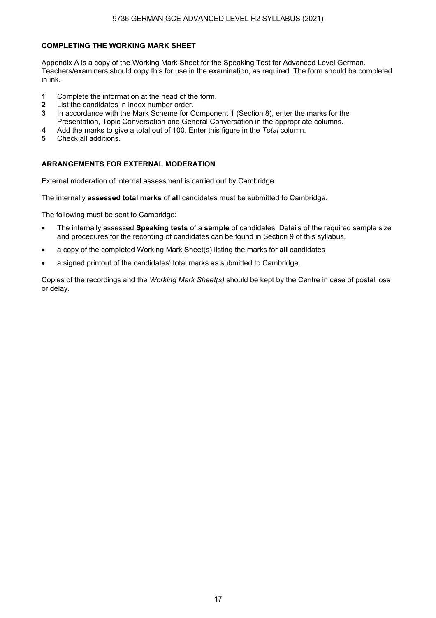#### **COMPLETING THE WORKING MARK SHEET**

Appendix A is a copy of the Working Mark Sheet for the Speaking Test for Advanced Level German. Teachers/examiners should copy this for use in the examination, as required. The form should be completed in ink.

- **1** Complete the information at the head of the form.
- **2** List the candidates in index number order.
- **3** In accordance with the Mark Scheme for Component 1 (Section 8), enter the marks for the Presentation, Topic Conversation and General Conversation in the appropriate columns.
- **4** Add the marks to give a total out of 100. Enter this figure in the *Total* column.
- **5** Check all additions.

#### **ARRANGEMENTS FOR EXTERNAL MODERATION**

External moderation of internal assessment is carried out by Cambridge.

The internally **assessed total marks** of **all** candidates must be submitted to Cambridge.

The following must be sent to Cambridge:

- The internally assessed **Speaking tests** of a **sample** of candidates. Details of the required sample size and procedures for the recording of candidates can be found in Section 9 of this syllabus.
- a copy of the completed Working Mark Sheet(s) listing the marks for **all** candidates
- a signed printout of the candidates' total marks as submitted to Cambridge.

Copies of the recordings and the *Working Mark Sheet(s)* should be kept by the Centre in case of postal loss or delay.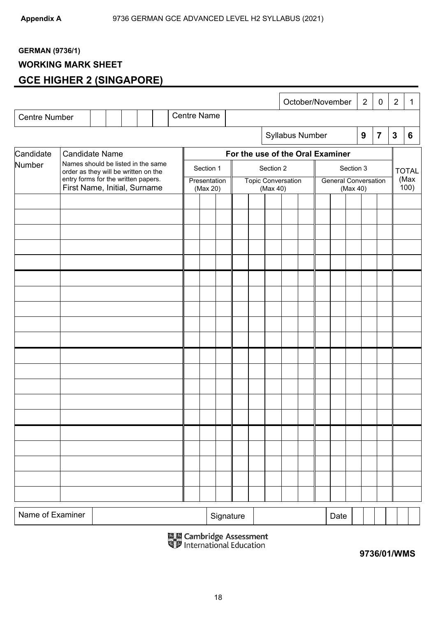# **GERMAN (9736/1)**

# **WORKING MARK SHEET**

# **GCE HIGHER 2 (SINGAPORE)**

|                      |                                                                            |  |  | <b>Centre Name</b> |                          |           |  |                                       | October/November |                             |           | $\overline{2}$   | $\mathbf 0$    | $\overline{2}$ | $\mathbf{1}$ |
|----------------------|----------------------------------------------------------------------------|--|--|--------------------|--------------------------|-----------|--|---------------------------------------|------------------|-----------------------------|-----------|------------------|----------------|----------------|--------------|
| <b>Centre Number</b> |                                                                            |  |  |                    |                          |           |  |                                       |                  |                             |           |                  |                |                |              |
|                      |                                                                            |  |  |                    |                          |           |  |                                       | Syllabus Number  |                             |           | $\boldsymbol{9}$ | $\overline{7}$ | $\mathbf{3}$   | 6            |
| Candidate            | <b>Candidate Name</b>                                                      |  |  |                    |                          |           |  | For the use of the Oral Examiner      |                  |                             |           |                  |                |                |              |
| Number               | Names should be listed in the same<br>order as they will be written on the |  |  |                    | Section 1                |           |  | Section 2                             |                  |                             | Section 3 |                  |                |                | <b>TOTAL</b> |
|                      | entry forms for the written papers.<br>First Name, Initial, Surname        |  |  |                    | Presentation<br>(Max 20) |           |  | <b>Topic Conversation</b><br>(Max 40) |                  | <b>General Conversation</b> | (Max 40)  |                  |                |                | (Max<br>100) |
|                      |                                                                            |  |  |                    |                          |           |  |                                       |                  |                             |           |                  |                |                |              |
|                      |                                                                            |  |  |                    |                          |           |  |                                       |                  |                             |           |                  |                |                |              |
|                      |                                                                            |  |  |                    |                          |           |  |                                       |                  |                             |           |                  |                |                |              |
|                      |                                                                            |  |  |                    |                          |           |  |                                       |                  |                             |           |                  |                |                |              |
|                      |                                                                            |  |  |                    |                          |           |  |                                       |                  |                             |           |                  |                |                |              |
|                      |                                                                            |  |  |                    |                          |           |  |                                       |                  |                             |           |                  |                |                |              |
|                      |                                                                            |  |  |                    |                          |           |  |                                       |                  |                             |           |                  |                |                |              |
|                      |                                                                            |  |  |                    |                          |           |  |                                       |                  |                             |           |                  |                |                |              |
|                      |                                                                            |  |  |                    |                          |           |  |                                       |                  |                             |           |                  |                |                |              |
|                      |                                                                            |  |  |                    |                          |           |  |                                       |                  |                             |           |                  |                |                |              |
|                      |                                                                            |  |  |                    |                          |           |  |                                       |                  |                             |           |                  |                |                |              |
|                      |                                                                            |  |  |                    |                          |           |  |                                       |                  |                             |           |                  |                |                |              |
|                      |                                                                            |  |  |                    |                          |           |  |                                       |                  |                             |           |                  |                |                |              |
|                      |                                                                            |  |  |                    |                          |           |  |                                       |                  |                             |           |                  |                |                |              |
|                      |                                                                            |  |  |                    |                          |           |  |                                       |                  |                             |           |                  |                |                |              |
|                      |                                                                            |  |  |                    |                          |           |  |                                       |                  |                             |           |                  |                |                |              |
|                      |                                                                            |  |  |                    |                          |           |  |                                       |                  |                             |           |                  |                |                |              |
|                      |                                                                            |  |  |                    |                          |           |  |                                       |                  |                             |           |                  |                |                |              |
|                      |                                                                            |  |  |                    |                          |           |  |                                       |                  |                             |           |                  |                |                |              |
|                      |                                                                            |  |  |                    |                          |           |  |                                       |                  |                             |           |                  |                |                |              |
|                      |                                                                            |  |  |                    |                          |           |  |                                       |                  |                             |           |                  |                |                |              |
| Name of Examiner     |                                                                            |  |  |                    |                          |           |  |                                       |                  |                             |           |                  |                |                |              |
|                      |                                                                            |  |  |                    |                          | Signature |  |                                       |                  | Date                        |           |                  |                |                |              |

**B 8** Cambridge Assessment<br> **19736/01/WMS 9736/01/WMS**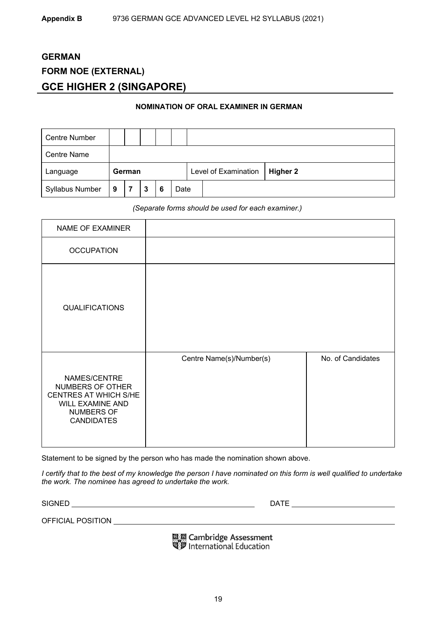# **GERMAN FORM NOE (EXTERNAL) GCE HIGHER 2 (SINGAPORE)**

#### **NOMINATION OF ORAL EXAMINER IN GERMAN**

| <b>Centre Number</b>   |   |        |   |   |      |                      |          |
|------------------------|---|--------|---|---|------|----------------------|----------|
| <b>Centre Name</b>     |   |        |   |   |      |                      |          |
| Language               |   | German |   |   |      | Level of Examination | Higher 2 |
| <b>Syllabus Number</b> | 9 |        | 3 | 6 | Date |                      |          |

*(Separate forms should be used for each examiner.)* 

| NAME OF EXAMINER                                                                                                 |                          |                   |
|------------------------------------------------------------------------------------------------------------------|--------------------------|-------------------|
| <b>OCCUPATION</b>                                                                                                |                          |                   |
| <b>QUALIFICATIONS</b>                                                                                            |                          |                   |
| NAMES/CENTRE<br>NUMBERS OF OTHER<br>CENTRES AT WHICH S/HE<br>WILL EXAMINE AND<br>NUMBERS OF<br><b>CANDIDATES</b> | Centre Name(s)/Number(s) | No. of Candidates |

Statement to be signed by the person who has made the nomination shown above.

*I certify that to the best of my knowledge the person I have nominated on this form is well qualified to undertake the work. The nominee has agreed to undertake the work.* 

SIGNED DATE

OFFICIAL POSITION

區國 Cambridge Assessment<br>屬罗 International Education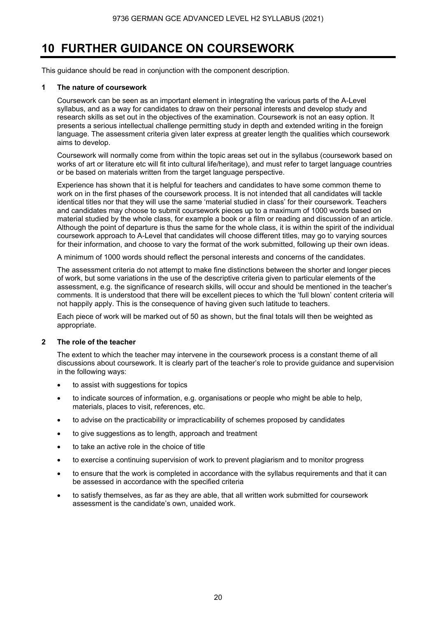# **10 FURTHER GUIDANCE ON COURSEWORK**

This guidance should be read in conjunction with the component description.

### **1 The nature of coursework**

 Coursework can be seen as an important element in integrating the various parts of the A-Level syllabus, and as a way for candidates to draw on their personal interests and develop study and research skills as set out in the objectives of the examination. Coursework is not an easy option. It presents a serious intellectual challenge permitting study in depth and extended writing in the foreign language. The assessment criteria given later express at greater length the qualities which coursework aims to develop.

 Coursework will normally come from within the topic areas set out in the syllabus (coursework based on works of art or literature etc will fit into cultural life/heritage), and must refer to target language countries or be based on materials written from the target language perspective.

 Experience has shown that it is helpful for teachers and candidates to have some common theme to work on in the first phases of the coursework process. It is not intended that all candidates will tackle identical titles nor that they will use the same 'material studied in class' for their coursework. Teachers and candidates may choose to submit coursework pieces up to a maximum of 1000 words based on material studied by the whole class, for example a book or a film or reading and discussion of an article. Although the point of departure is thus the same for the whole class, it is within the spirit of the individual coursework approach to A-Level that candidates will choose different titles, may go to varying sources for their information, and choose to vary the format of the work submitted, following up their own ideas.

A minimum of 1000 words should reflect the personal interests and concerns of the candidates.

 The assessment criteria do not attempt to make fine distinctions between the shorter and longer pieces of work, but some variations in the use of the descriptive criteria given to particular elements of the assessment, e.g. the significance of research skills, will occur and should be mentioned in the teacher's comments. It is understood that there will be excellent pieces to which the 'full blown' content criteria will not happily apply. This is the consequence of having given such latitude to teachers.

Each piece of work will be marked out of 50 as shown, but the final totals will then be weighted as appropriate.

#### **2 The role of the teacher**

The extent to which the teacher may intervene in the coursework process is a constant theme of all discussions about coursework. It is clearly part of the teacher's role to provide guidance and supervision in the following ways:

- to assist with suggestions for topics
- to indicate sources of information, e.g. organisations or people who might be able to help, materials, places to visit, references, etc.
- to advise on the practicability or impracticability of schemes proposed by candidates
- to give suggestions as to length, approach and treatment
- to take an active role in the choice of title
- to exercise a continuing supervision of work to prevent plagiarism and to monitor progress
- to ensure that the work is completed in accordance with the syllabus requirements and that it can be assessed in accordance with the specified criteria
- to satisfy themselves, as far as they are able, that all written work submitted for coursework assessment is the candidate's own, unaided work.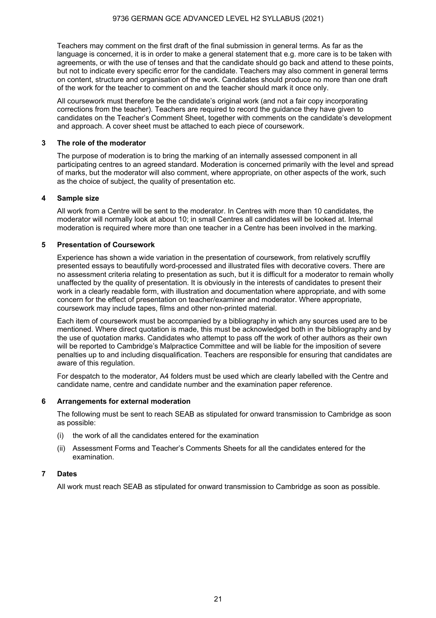Teachers may comment on the first draft of the final submission in general terms. As far as the language is concerned, it is in order to make a general statement that e.g. more care is to be taken with agreements, or with the use of tenses and that the candidate should go back and attend to these points, but not to indicate every specific error for the candidate. Teachers may also comment in general terms on content, structure and organisation of the work. Candidates should produce no more than one draft of the work for the teacher to comment on and the teacher should mark it once only.

All coursework must therefore be the candidate's original work (and not a fair copy incorporating corrections from the teacher). Teachers are required to record the guidance they have given to candidates on the Teacher's Comment Sheet, together with comments on the candidate's development and approach. A cover sheet must be attached to each piece of coursework.

#### **3 The role of the moderator**

The purpose of moderation is to bring the marking of an internally assessed component in all participating centres to an agreed standard. Moderation is concerned primarily with the level and spread of marks, but the moderator will also comment, where appropriate, on other aspects of the work, such as the choice of subject, the quality of presentation etc.

#### **4 Sample size**

All work from a Centre will be sent to the moderator. In Centres with more than 10 candidates, the moderator will normally look at about 10; in small Centres all candidates will be looked at. Internal moderation is required where more than one teacher in a Centre has been involved in the marking.

#### **5 Presentation of Coursework**

Experience has shown a wide variation in the presentation of coursework, from relatively scruffily presented essays to beautifully word-processed and illustrated files with decorative covers. There are no assessment criteria relating to presentation as such, but it is difficult for a moderator to remain wholly unaffected by the quality of presentation. It is obviously in the interests of candidates to present their work in a clearly readable form, with illustration and documentation where appropriate, and with some concern for the effect of presentation on teacher/examiner and moderator. Where appropriate, coursework may include tapes, films and other non-printed material.

Each item of coursework must be accompanied by a bibliography in which any sources used are to be mentioned. Where direct quotation is made, this must be acknowledged both in the bibliography and by the use of quotation marks. Candidates who attempt to pass off the work of other authors as their own will be reported to Cambridge's Malpractice Committee and will be liable for the imposition of severe penalties up to and including disqualification. Teachers are responsible for ensuring that candidates are aware of this regulation.

For despatch to the moderator, A4 folders must be used which are clearly labelled with the Centre and candidate name, centre and candidate number and the examination paper reference.

#### **6 Arrangements for external moderation**

The following must be sent to reach SEAB as stipulated for onward transmission to Cambridge as soon as possible:

- (i) the work of all the candidates entered for the examination
- (ii) Assessment Forms and Teacher's Comments Sheets for all the candidates entered for the examination.

### **7 Dates**

All work must reach SEAB as stipulated for onward transmission to Cambridge as soon as possible.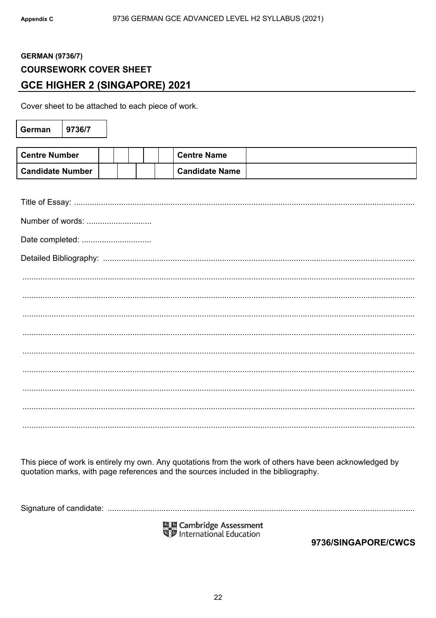# **GERMAN (9736/7) COURSEWORK COVER SHEET GCE HIGHER 2 (SINGAPORE) 2021**

Cover sheet to be attached to each piece of work.

| German                  | 9736/7 |  |  |                       |
|-------------------------|--------|--|--|-----------------------|
|                         |        |  |  |                       |
| <b>Centre Number</b>    |        |  |  | <b>Centre Name</b>    |
| <b>Candidate Number</b> |        |  |  | <b>Candidate Name</b> |
|                         |        |  |  |                       |
|                         |        |  |  |                       |
| Number of words:        |        |  |  |                       |
| Date completed:         |        |  |  |                       |
|                         |        |  |  |                       |
|                         |        |  |  |                       |
|                         |        |  |  |                       |
|                         |        |  |  |                       |
|                         |        |  |  |                       |
|                         |        |  |  |                       |
|                         |        |  |  |                       |
|                         |        |  |  |                       |
|                         |        |  |  |                       |
|                         |        |  |  |                       |

This piece of work is entirely my own. Any quotations from the work of others have been acknowledged by quotation marks, with page references and the sources included in the bibliography.

國國 Cambridge Assessment<br>『夢 International Education

9736/SINGAPORE/CWCS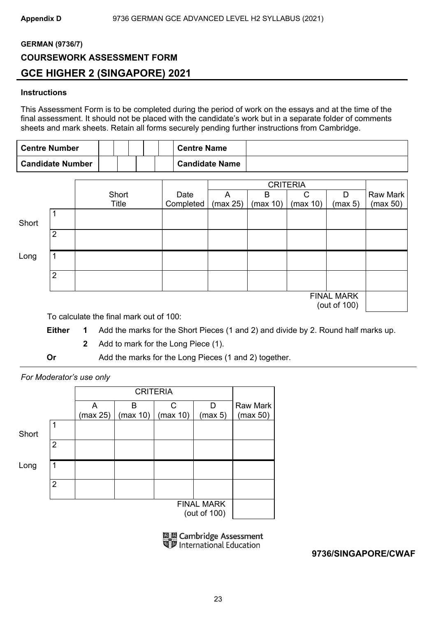# **GERMAN (9736/7) COURSEWORK ASSESSMENT FORM GCE HIGHER 2 (SINGAPORE) 2021**

# **Instructions**

This Assessment Form is to be completed during the period of work on the essays and at the time of the final assessment. It should not be placed with the candidate's work but in a separate folder of comments sheets and mark sheets. Retain all forms securely pending further instructions from Cambridge.

| <b>Centre Number</b>    |  |  | <b>Centre Name</b>    |  |
|-------------------------|--|--|-----------------------|--|
| <b>Candidate Number</b> |  |  | <b>Candidate Name</b> |  |

|       |                |              |           |          | <b>CRITERIA</b> |          |                                   |          |
|-------|----------------|--------------|-----------|----------|-----------------|----------|-----------------------------------|----------|
|       |                | Short        | Date      | A        | B               | C        | D                                 | Raw Mark |
|       |                | <b>Title</b> | Completed | (max 25) | (max 10)        | (max 10) | (max 5)                           | (max 50) |
| Short |                |              |           |          |                 |          |                                   |          |
|       | $\overline{2}$ |              |           |          |                 |          |                                   |          |
| Long  | 1              |              |           |          |                 |          |                                   |          |
|       | $\overline{2}$ |              |           |          |                 |          |                                   |          |
|       |                |              |           |          |                 |          | <b>FINAL MARK</b><br>(out of 100) |          |

To calculate the final mark out of 100:

- **Either 1** Add the marks for the Short Pieces (1 and 2) and divide by 2. Round half marks up.
	- **2** Add to mark for the Long Piece (1).
- **Or** Add the marks for the Long Pieces (1 and 2) together.

# *For Moderator's use only*

|       |                |               |               | <b>CRITERIA</b>          |                                   |                             |
|-------|----------------|---------------|---------------|--------------------------|-----------------------------------|-----------------------------|
|       |                | A<br>(max 25) | в<br>(max 10) | $\mathsf{C}$<br>(max 10) | D<br>(max 5)                      | <b>Raw Mark</b><br>(max 50) |
| Short | 1              |               |               |                          |                                   |                             |
|       | 2              |               |               |                          |                                   |                             |
| Long  | 1              |               |               |                          |                                   |                             |
|       | $\overline{2}$ |               |               |                          |                                   |                             |
|       |                |               |               |                          | <b>FINAL MARK</b><br>(out of 100) |                             |

**ELE Cambridge Assessment**<br>Signal International Education

**9736/SINGAPORE/CWAF**